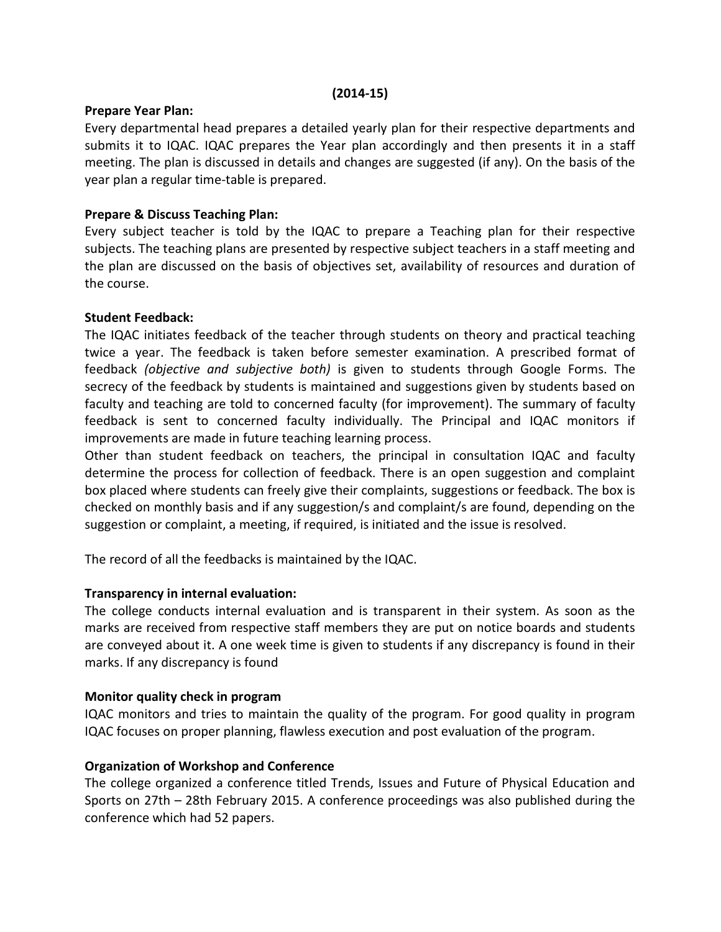#### (2014-15)

#### Prepare Year Plan:

Every departmental head prepares a detailed yearly plan for their respective departments and submits it to IQAC. IQAC prepares the Year plan accordingly and then presents it in a staff meeting. The plan is discussed in details and changes are suggested (if any). On the basis of the year plan a regular time-table is prepared.

## Prepare & Discuss Teaching Plan:

Every subject teacher is told by the IQAC to prepare a Teaching plan for their respective subjects. The teaching plans are presented by respective subject teachers in a staff meeting and the plan are discussed on the basis of objectives set, availability of resources and duration of the course.

### Student Feedback:

The IQAC initiates feedback of the teacher through students on theory and practical teaching twice a year. The feedback is taken before semester examination. A prescribed format of feedback (objective and subjective both) is given to students through Google Forms. The secrecy of the feedback by students is maintained and suggestions given by students based on faculty and teaching are told to concerned faculty (for improvement). The summary of faculty feedback is sent to concerned faculty individually. The Principal and IQAC monitors if improvements are made in future teaching learning process.

Other than student feedback on teachers, the principal in consultation IQAC and faculty determine the process for collection of feedback. There is an open suggestion and complaint box placed where students can freely give their complaints, suggestions or feedback. The box is checked on monthly basis and if any suggestion/s and complaint/s are found, depending on the suggestion or complaint, a meeting, if required, is initiated and the issue is resolved.

The record of all the feedbacks is maintained by the IQAC.

### Transparency in internal evaluation:

The college conducts internal evaluation and is transparent in their system. As soon as the marks are received from respective staff members they are put on notice boards and students are conveyed about it. A one week time is given to students if any discrepancy is found in their marks. If any discrepancy is found

### Monitor quality check in program

IQAC monitors and tries to maintain the quality of the program. For good quality in program IQAC focuses on proper planning, flawless execution and post evaluation of the program.

### Organization of Workshop and Conference

The college organized a conference titled Trends, Issues and Future of Physical Education and Sports on 27th – 28th February 2015. A conference proceedings was also published during the conference which had 52 papers.